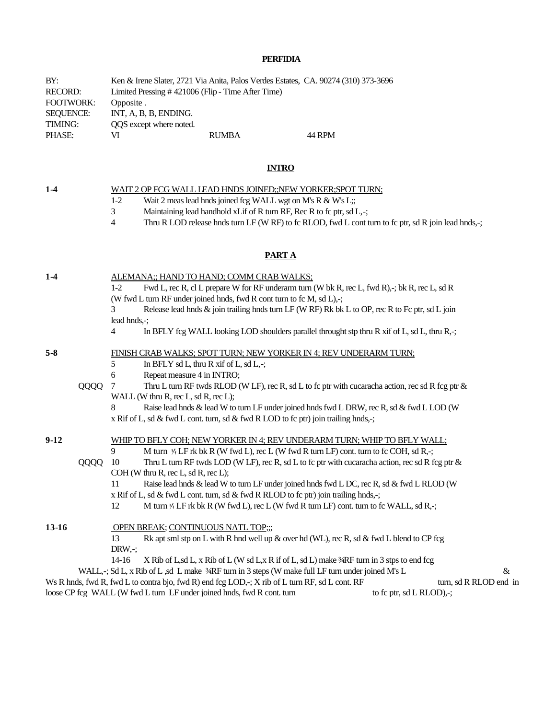# **PERFIDIA**

| BY:              |                                                   | Ken & Irene Slater, 2721 Via Anita, Palos Verdes Estates, CA. 90274 (310) 373-3696 |        |
|------------------|---------------------------------------------------|------------------------------------------------------------------------------------|--------|
| <b>RECORD:</b>   | Limited Pressing #421006 (Flip - Time After Time) |                                                                                    |        |
| <b>FOOTWORK:</b> | Opposite.                                         |                                                                                    |        |
| SEOUENCE:        | INT, A, B, B, ENDING.                             |                                                                                    |        |
| TIMING:          | OOS except where noted.                           |                                                                                    |        |
| PHASE:           | VI                                                | <b>RUMBA</b>                                                                       | 44 RPM |

## **INTRO**

| $1-4$                                             |                                                                          | WAIT 2 OP FCG WALL LEAD HNDS JOINED;;NEW YORKER;SPOT TURN;                                                                                                      |  |  |  |
|---------------------------------------------------|--------------------------------------------------------------------------|-----------------------------------------------------------------------------------------------------------------------------------------------------------------|--|--|--|
|                                                   |                                                                          | Wait 2 meas lead hnds joined fcg WALL wgt on M's R & W's L;;<br>$1-2$                                                                                           |  |  |  |
|                                                   |                                                                          | Maintaining lead handhold xLif of R turn RF, Rec R to fc ptr, sd L,-;<br>3                                                                                      |  |  |  |
|                                                   |                                                                          | Thru R LOD release hnds turn LF (W RF) to fc RLOD, fwd L cont turn to fc ptr, sd R join lead hnds,-;<br>$\overline{4}$                                          |  |  |  |
|                                                   |                                                                          |                                                                                                                                                                 |  |  |  |
|                                                   |                                                                          | <b>PARTA</b>                                                                                                                                                    |  |  |  |
| $1-4$<br>ALEMANA;; HAND TO HAND; COMM CRAB WALKS; |                                                                          |                                                                                                                                                                 |  |  |  |
|                                                   |                                                                          | Fwd L, rec R, cl L prepare W for RF underarm turn (W bk R, rec L, fwd R),-; bk R, rec L, sd R<br>$1-2$                                                          |  |  |  |
|                                                   |                                                                          | (W fwd L turn RF under joined hnds, fwd R cont turn to fc M, sd L),-;                                                                                           |  |  |  |
|                                                   |                                                                          | Release lead hnds & join trailing hnds turn LF (W RF) Rk bk L to OP, rec R to Fc ptr, sd L join<br>3                                                            |  |  |  |
|                                                   | lead hnds,-;                                                             |                                                                                                                                                                 |  |  |  |
|                                                   |                                                                          | In BFLY fcg WALL looking LOD shoulders parallel throught stp thru R xif of L, sd L, thru R,-;<br>$\overline{4}$                                                 |  |  |  |
| $5-8$                                             |                                                                          | FINISH CRAB WALKS; SPOT TURN; NEW YORKER IN 4; REV UNDERARM TURN;                                                                                               |  |  |  |
|                                                   |                                                                          | 5<br>In BFLY sd L, thru R xif of L, sd L,-;                                                                                                                     |  |  |  |
|                                                   |                                                                          | 6<br>Repeat measure 4 in INTRO;                                                                                                                                 |  |  |  |
|                                                   | QQQQ                                                                     | Thru L turn RF twds RLOD (W LF), rec R, sd L to fc ptr with cucaracha action, rec sd R fcg ptr $\&$<br>7                                                        |  |  |  |
|                                                   |                                                                          | WALL (W thru R, rec L, sd R, rec L);                                                                                                                            |  |  |  |
|                                                   |                                                                          | Raise lead hnds & lead W to turn LF under joined hnds fwd L DRW, rec R, sd & fwd L LOD (W<br>8                                                                  |  |  |  |
|                                                   |                                                                          | x Rif of L, sd & fwd L cont. turn, sd & fwd R LOD to fc ptr) join trailing hnds,-;                                                                              |  |  |  |
| $9-12$                                            | WHIP TO BFLY COH; NEW YORKER IN 4; REV UNDERARM TURN; WHIP TO BFLY WALL; |                                                                                                                                                                 |  |  |  |
|                                                   |                                                                          | 9<br>M turn $\frac{1}{4}$ LF rk bk R (W fwd L), rec L (W fwd R turn LF) cont. turn to fc COH, sd R,-;                                                           |  |  |  |
|                                                   | QQQQ                                                                     | 10<br>Thru L turn RF twds LOD (W LF), rec R, sd L to fc ptr with cucaracha action, rec sd R fcg ptr $\&$                                                        |  |  |  |
|                                                   |                                                                          | COH (W thru R, rec L, sd R, rec L);                                                                                                                             |  |  |  |
|                                                   |                                                                          | Raise lead hnds & lead W to turn LF under joined hnds fwd L DC, rec R, sd & fwd L RLOD (W<br>11                                                                 |  |  |  |
|                                                   |                                                                          | x Rif of L, sd & fwd L cont. turn, sd & fwd R RLOD to fc ptr) join trailing hnds,-;                                                                             |  |  |  |
|                                                   |                                                                          | 12<br>M turn $\frac{1}{4}$ LF rk bk R (W fwd L), rec L (W fwd R turn LF) cont. turn to fc WALL, sd R,-;                                                         |  |  |  |
| 13-16                                             |                                                                          | OPEN BREAK; CONTINUOUS NATL TOP;;;                                                                                                                              |  |  |  |
|                                                   |                                                                          | Rk apt sml stp on L with R hnd well up & over hd (WL), rec R, sd & fwd L blend to CP fcg<br>13                                                                  |  |  |  |
|                                                   |                                                                          | $DRW, -;$                                                                                                                                                       |  |  |  |
|                                                   |                                                                          | $14-16$<br>X Rib of L,sd L, x Rib of L (W sd L,x R if of L, sd L) make 3/RF turn in 3 stps to end fcg                                                           |  |  |  |
|                                                   |                                                                          | WALL, -; Sd L, x Rib of L, sd L make 3/RF turn in 3 steps (W make full LF turn under joined M's L<br>$\&$                                                       |  |  |  |
|                                                   |                                                                          | $W_0$ B hade find B find I to controlling find B) and fee $L$ OD $\rightarrow$ V $\ddot{m}$ of L turn BE ad L control<br>$_{\text{turn}}$ ad D DI $\bigcap$ and |  |  |  |

Ws R hnds, fwd R, fwd L to contra bjo, fwd R) end fcg LOD,-; X rib of L turn RF, sd L cont. RF turn, sd R RLOD end in loose CP fcg WALL (W fwd L turn LF under joined hnds, fwd R cont. turn to fc ptr, sd L RLOD),-;